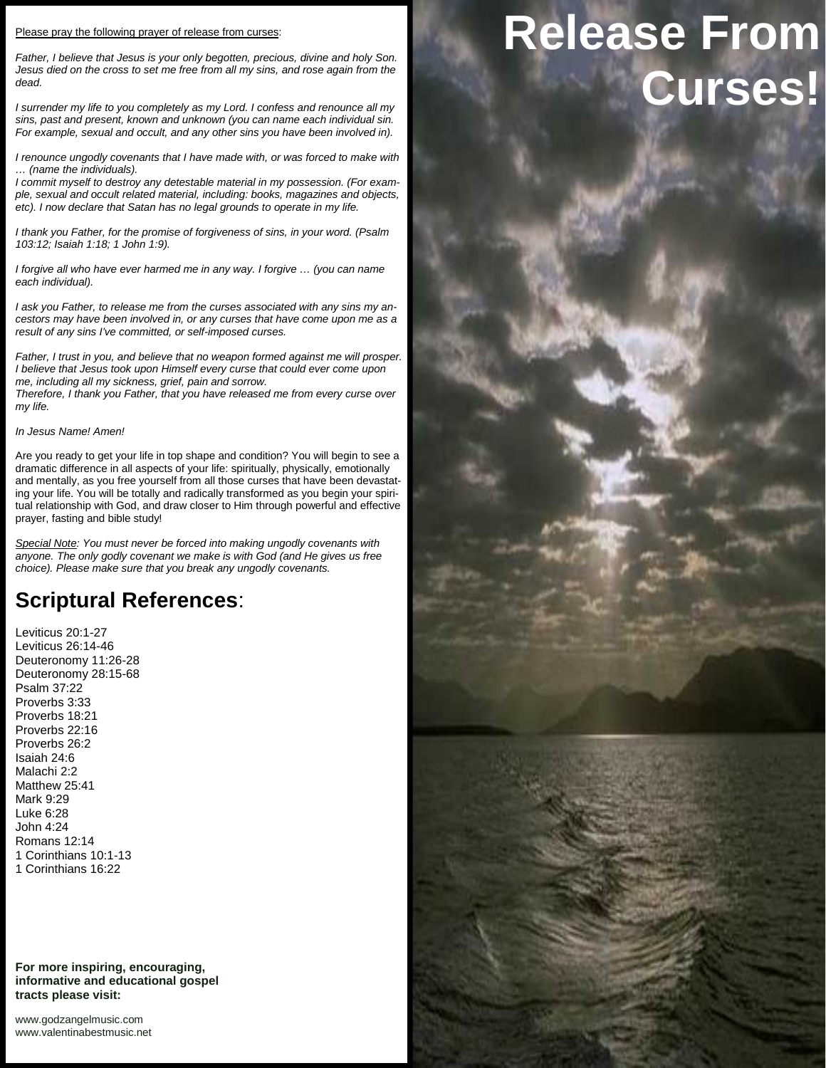#### Please pray the following prayer of release from curses:

*Father, I believe that Jesus is your only begotten, precious, divine and holy Son. Jesus died on the cross to set me free from all my sins, and rose again from the dead.*

*I surrender my life to you completely as my Lord. I confess and renounce all my sins, past and present, known and unknown (you can name each individual sin. For example, sexual and occult, and any other sins you have been involved in).*

*I renounce ungodly covenants that I have made with, or was forced to make with … (name the individuals).*

*I commit myself to destroy any detestable material in my possession. (For exam ple, sexual and occult related material, including: books, magazines and objects, etc). I now declare that Satan has no legal grounds to operate in my life.*

*I thank you Father, for the promise of forgiveness of sins, in your word. (Psalm 103:12; Isaiah 1:18; 1 John 1:9).*

*I forgive all who have ever harmed me in any way. I forgive … (you can name each individual).*

*I ask you Father, to release me from the curses associated with any sins my an cestors may have been involved in, or any curses that have come upon me as a result of any sins I've committed, or self-imposed curses.*

*Father, I trust in you, and believe that no weapon formed against me will prosper. I believe that Jesus took upon Himself every curse that could ever come upon me, including all my sickness, grief, pain and sorrow.*

*Therefore, I thank you Father, that you have released me from every curse over my life.*

## *In Jesus Name! Amen!*

Are you ready to get your life in top shape and condition? You will begin to see a dramatic difference in all aspects of your life: spiritually, physically, emotionally and mentally, as you free yourself from all those curses that have been devastating your life. You will be totally and radically transformed as you begin your spiritual relationship with God, and draw closer to Him through powerful and effective prayer, fasting and bible study!

*Special Note: You must never be forced into making ungodly covenants with anyone. The only godly covenant we make is with God (and He gives us free choice). Please make sure that you break any ungodly covenants.*

## **Scriptural References**:

Leviticus 20:1-27 Leviticus 26:14-46 Deuteronomy 11:26-28 Deuteronomy 28:15-68 Psalm 37:22 Proverbs 3:33 Proverbs 18:21 Proverbs 22:16 Proverbs 26:2 Isaiah 24:6 Malachi 2:2 Matthew 25:41 Mark 9:29 Luke 6:28 John 4:24 Romans 12:14 1 Corinthians 10:1-13 1 Corinthians 16:22

**For more inspiring, encouraging, informative and educational gospel tracts please visit:**

<www.godzangelmusic.com> <www.valentinabestmusic.net>

# **Release From Curses!**